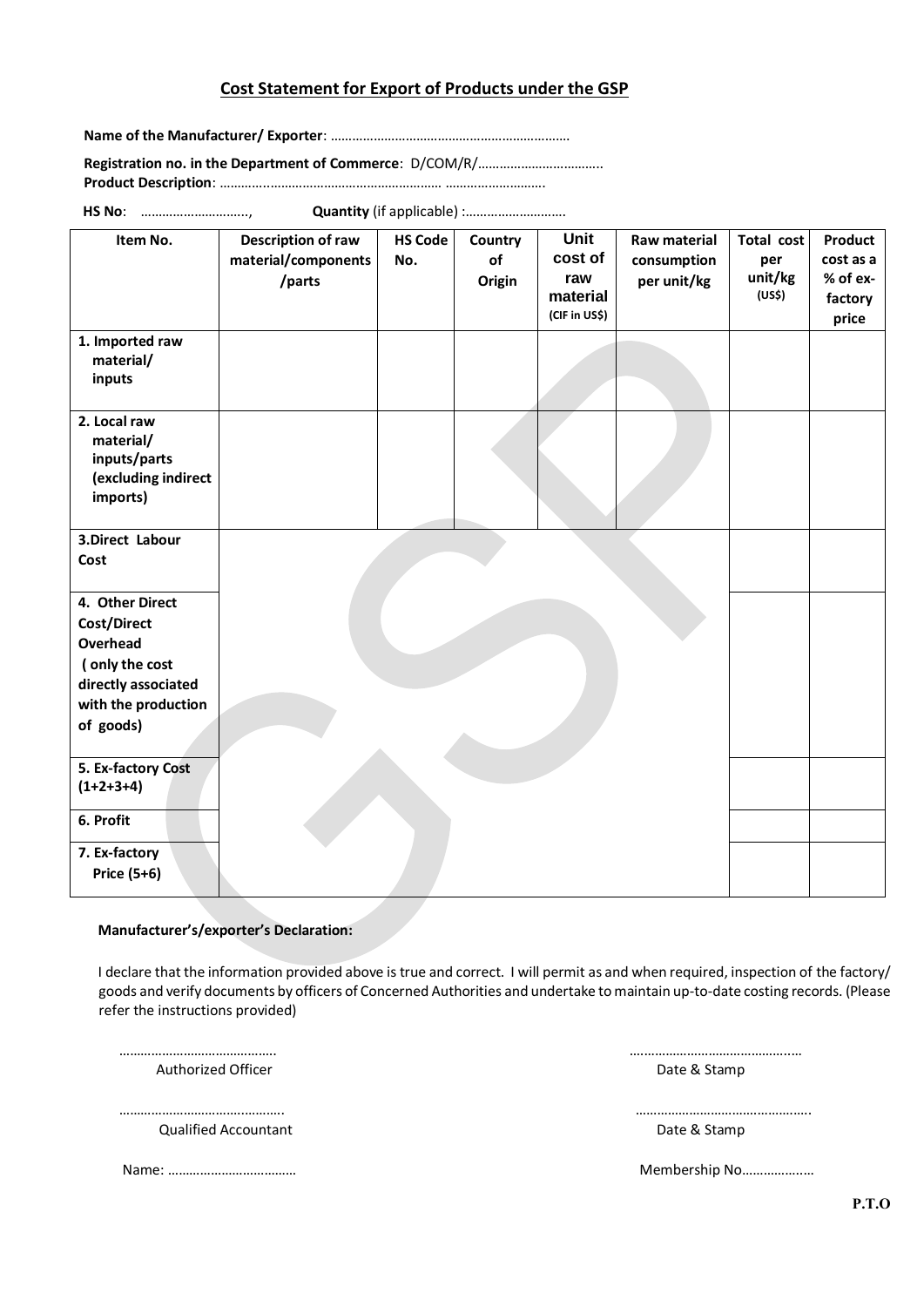## **Cost Statement for Export of Products under the GSP**

**Name of the Manufacturer/ Exporter**: ………………………………………………………….

**Registration no. in the Department of Commerce**: D/COM/R/…………………………….. **Product Description**: …………..………………………………………… ……………………….

**HS No**: ………………………..., **Quantity** (if applicable) :……………………….

| Item No.                                                                            | Description of raw<br>material/components<br>/parts | <b>HS Code</b><br>No. | Country<br>of<br>Origin | <b>Unit</b><br>cost of<br>raw<br>material<br>(CIF in US\$) | Raw material<br>consumption<br>per unit/kg | Total cost<br>per<br>unit/kg<br>(US\$) | Product<br>cost as a<br>% of ex-<br>factory<br>price |
|-------------------------------------------------------------------------------------|-----------------------------------------------------|-----------------------|-------------------------|------------------------------------------------------------|--------------------------------------------|----------------------------------------|------------------------------------------------------|
| 1. Imported raw<br>material/<br>inputs                                              |                                                     |                       |                         |                                                            |                                            |                                        |                                                      |
| 2. Local raw<br>material/<br>inputs/parts<br>(excluding indirect<br>imports)        |                                                     |                       |                         |                                                            |                                            |                                        |                                                      |
| 3.Direct Labour<br>Cost                                                             |                                                     |                       |                         |                                                            |                                            |                                        |                                                      |
| 4. Other Direct<br>Cost/Direct<br>Overhead<br>(only the cost<br>directly associated |                                                     |                       |                         |                                                            |                                            |                                        |                                                      |
| with the production<br>of goods)                                                    |                                                     |                       |                         |                                                            |                                            |                                        |                                                      |
| 5. Ex-factory Cost<br>$(1+2+3+4)$                                                   |                                                     |                       |                         |                                                            |                                            |                                        |                                                      |
| 6. Profit                                                                           |                                                     |                       |                         |                                                            |                                            |                                        |                                                      |
| 7. Ex-factory<br>Price (5+6)                                                        |                                                     |                       |                         |                                                            |                                            |                                        |                                                      |

## **Manufacturer's/exporter's Declaration:**

I declare that the information provided above is true and correct. I will permit as and when required, inspection of the factory/ goods and verify documents by officers of Concerned Authorities and undertake to maintain up-to-date costing records. (Please refer the instructions provided)

 …………………………………….. ….…………………………………..… Authorized Officer **Date & Stamp** 

**Caulified Accountant Caulified Accountant Caulified Accountant** 

……………………………..……….. …………………………….……….…..

Name: ……………………………… Membership No……………..…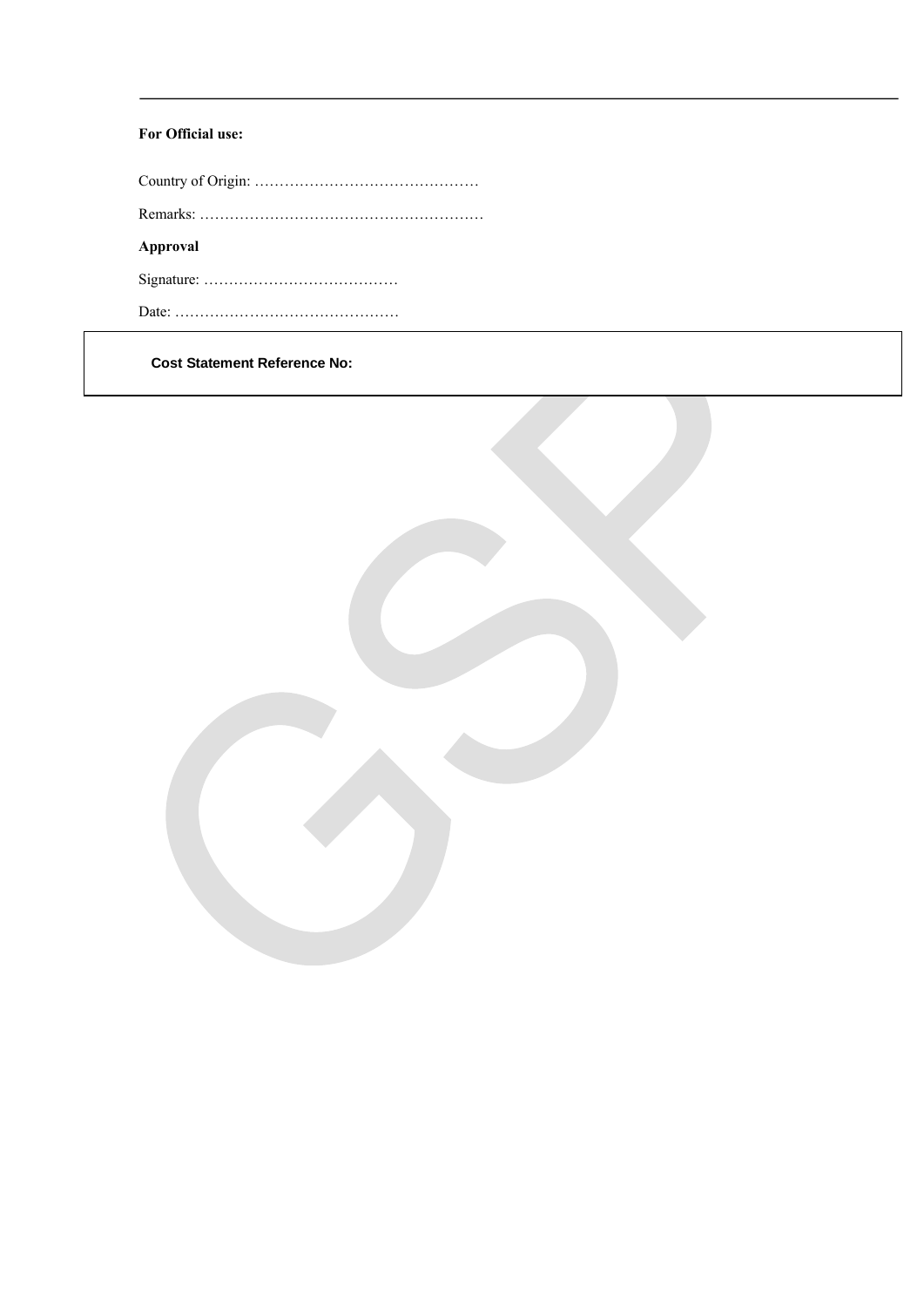## **For Official use:**

Country of Origin: ……………………………………… Remarks: ………………………………………………… **Approval**  Signature: ………………………………… Date: ………………………………………

**Cost Statement Reference No:**